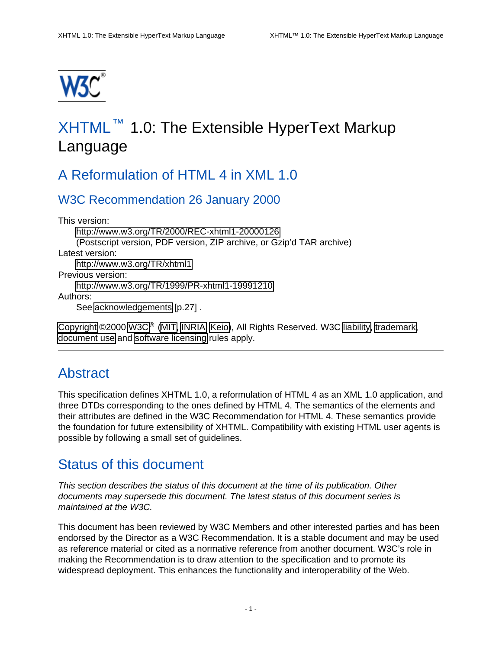

# XHTML™ 1.0: The Extensible HyperText Markup Language

## A Reformulation of HTML 4 in XML 1.0

### W3C Recommendation 26 January 2000

This version:

<http://www.w3.org/TR/2000/REC-xhtml1-20000126> (Postscript version, PDF version, ZIP archive, or Gzip'd TAR archive) Latest version: <http://www.w3.org/TR/xhtml1> Previous version: <http://www.w3.org/TR/1999/PR-xhtml1-19991210> Authors: See [acknowledgements](#page-26-0) [p.27].

[Copyright](http://www.w3.org/Consortium/Legal/ipr-notice#Copyright) ©2000 [W3C](http://www.w3.org/)® [\(MIT,](http://www.lcs.mit.edu/) [INRIA,](http://www.inria.fr/) [Keio\)](http://www.keio.ac.jp/), All Rights Reserved. W3C [liability,](http://www.w3.org/Consortium/Legal/ipr-notice#Legal_Disclaimer) [trademark,](http://www.w3.org/Consortium/Legal/ipr-notice#W3C_Trademarks) [document use](http://www.w3.org/Consortium/Legal/copyright-documents-19990405) and [software licensing](http://www.w3.org/Consortium/Legal/copyright-software-19980720) rules apply.

### Abstract

This specification defines XHTML 1.0, a reformulation of HTML 4 as an XML 1.0 application, and three DTDs corresponding to the ones defined by HTML 4. The semantics of the elements and their attributes are defined in the W3C Recommendation for HTML 4. These semantics provide the foundation for future extensibility of XHTML. Compatibility with existing HTML user agents is possible by following a small set of guidelines.

## Status of this document

This section describes the status of this document at the time of its publication. Other documents may supersede this document. The latest status of this document series is maintained at the W3C.

This document has been reviewed by W3C Members and other interested parties and has been endorsed by the Director as a W3C Recommendation. It is a stable document and may be used as reference material or cited as a normative reference from another document. W3C's role in making the Recommendation is to draw attention to the specification and to promote its widespread deployment. This enhances the functionality and interoperability of the Web.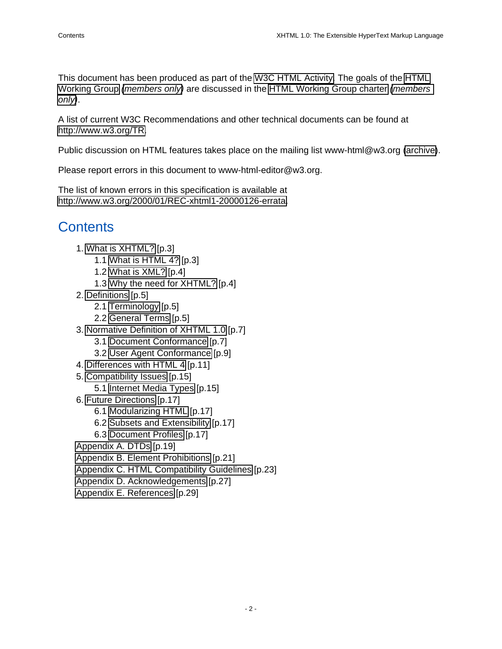This document has been produced as part of the [W3C HTML Activity.](http://www.w3.org/MarkUp/) The goals of the [HTML](http://www.w3.org/MarkUp/Group/) [Working Group](http://www.w3.org/MarkUp/Group/) *[\(members only\)](http://cgi.w3.org/MemberAccess/)* are discussed in the [HTML Working Group charter](http://www.w3.org/MarkUp/Group/HTMLcharter) *(members* [only\)](http://cgi.w3.org/MemberAccess/).

A list of current W3C Recommendations and other technical documents can be found at [http://www.w3.org/TR.](http://www.w3.org/TR)

Public discussion on HTML features takes place on the mailing list www-html@w3.org [\(archive\)](http://lists.w3.org/Archives/Public/www-html/).

Please report errors in this document to www-html-editor@w3.org.

The list of known errors in this specification is available at [http://www.w3.org/2000/01/REC-xhtml1-20000126-errata.](http://www.w3.org/2000/01/REC-xhtml1-20000126-errata)

## **Contents**

1. [What is XHTML?](#page-2-1) [p.3] 1.1 [What is HTML 4?](#page-2-0) [p.3] 1.2 [What is XML?](#page-3-1) [p.4] 1.3 [Why the need for XHTML?](#page-3-0) [p.4] 2. [Definitions](#page-4-2) [p.5] 2.1 [Terminology](#page-4-1) [p.5] 2.2 [General Terms](#page-4-0) [p.5] 3. [Normative Definition of XHTML 1.0](#page-6-1) [p.7] 3.1 [Document Conformance](#page-6-0) [p.7] 3.2 [User Agent Conformance](#page-8-0) [p.9] 4. [Differences with HTML 4](#page-10-0) [p.11] 5. [Compatibility Issues](#page-14-1) [p.15] 5.1 [Internet Media Types](#page-14-0) [p.15] 6. [Future Directions](#page-16-3) [p.17] 6.1 [Modularizing HTML](#page-16-2) [p.17] 6.2 [Subsets and Extensibility](#page-16-1) [p.17] 6.3 [Document Profiles](#page-16-0) [p.17] [Appendix A. DTDs](#page-18-0) [p.19] [Appendix B. Element Prohibitions](#page-20-0) [p.21] [Appendix C. HTML Compatibility Guidelines](#page-22-0) [p.23] [Appendix D. Acknowledgements](#page-26-0) [p.27] [Appendix E. References](#page-28-0) [p.29]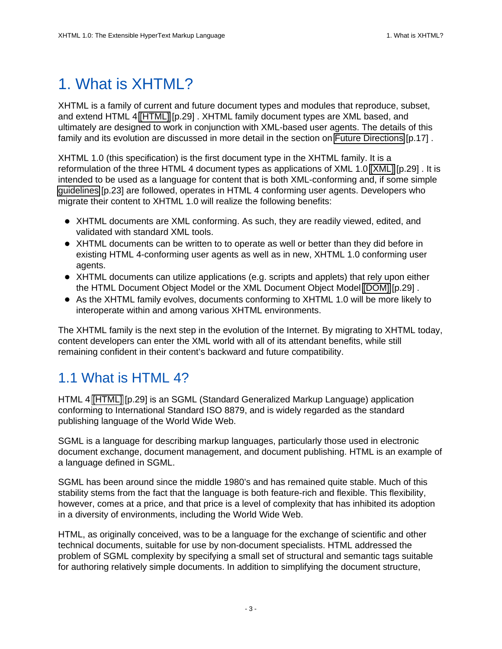# <span id="page-2-1"></span>1. What is XHTML?

XHTML is a family of current and future document types and modules that reproduce, subset, and extend HTML 4 [\[HTML\]](#page-28-1) [p.29] . XHTML family document types are XML based, and ultimately are designed to work in conjunction with XML-based user agents. The details of this family and its evolution are discussed in more detail in the section on [Future Directions](#page-16-3) [p.17] .

XHTML 1.0 (this specification) is the first document type in the XHTML family. It is a reformulation of the three HTML 4 document types as applications of XML 1.0 [\[XML\]](#page-28-3) [p.29] . It is intended to be used as a language for content that is both XML-conforming and, if some simple [guidelines](#page-22-0) [p.23] are followed, operates in HTML 4 conforming user agents. Developers who migrate their content to XHTML 1.0 will realize the following benefits:

- XHTML documents are XML conforming. As such, they are readily viewed, edited, and validated with standard XML tools.
- XHTML documents can be written to to operate as well or better than they did before in existing HTML 4-conforming user agents as well as in new, XHTML 1.0 conforming user agents.
- XHTML documents can utilize applications (e.g. scripts and applets) that rely upon either the HTML Document Object Model or the XML Document Object Model [\[DOM\]](#page-28-2) [p.29] .
- As the XHTML family evolves, documents conforming to XHTML 1.0 will be more likely to interoperate within and among various XHTML environments.

The XHTML family is the next step in the evolution of the Internet. By migrating to XHTML today, content developers can enter the XML world with all of its attendant benefits, while still remaining confident in their content's backward and future compatibility.

## <span id="page-2-0"></span>1.1 What is HTML 4?

HTML 4 [\[HTML\]](#page-28-1) [p.29] is an SGML (Standard Generalized Markup Language) application conforming to International Standard ISO 8879, and is widely regarded as the standard publishing language of the World Wide Web.

SGML is a language for describing markup languages, particularly those used in electronic document exchange, document management, and document publishing. HTML is an example of a language defined in SGML.

SGML has been around since the middle 1980's and has remained quite stable. Much of this stability stems from the fact that the language is both feature-rich and flexible. This flexibility, however, comes at a price, and that price is a level of complexity that has inhibited its adoption in a diversity of environments, including the World Wide Web.

HTML, as originally conceived, was to be a language for the exchange of scientific and other technical documents, suitable for use by non-document specialists. HTML addressed the problem of SGML complexity by specifying a small set of structural and semantic tags suitable for authoring relatively simple documents. In addition to simplifying the document structure,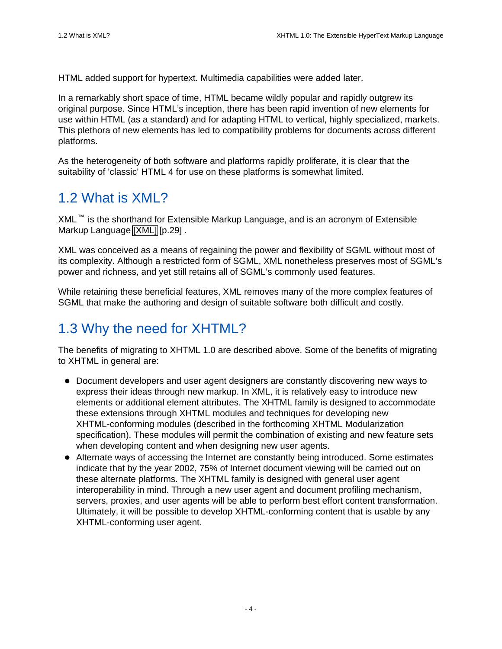HTML added support for hypertext. Multimedia capabilities were added later.

In a remarkably short space of time, HTML became wildly popular and rapidly outgrew its original purpose. Since HTML's inception, there has been rapid invention of new elements for use within HTML (as a standard) and for adapting HTML to vertical, highly specialized, markets. This plethora of new elements has led to compatibility problems for documents across different platforms.

As the heterogeneity of both software and platforms rapidly proliferate, it is clear that the suitability of 'classic' HTML 4 for use on these platforms is somewhat limited.

## <span id="page-3-1"></span>1.2 What is XML?

XML™ is the shorthand for Extensible Markup Language, and is an acronym of Extensible Markup Language [\[XML\]](#page-28-3) [p.29] .

XML was conceived as a means of regaining the power and flexibility of SGML without most of its complexity. Although a restricted form of SGML, XML nonetheless preserves most of SGML's power and richness, and yet still retains all of SGML's commonly used features.

While retaining these beneficial features, XML removes many of the more complex features of SGML that make the authoring and design of suitable software both difficult and costly.

## <span id="page-3-0"></span>1.3 Why the need for XHTML?

The benefits of migrating to XHTML 1.0 are described above. Some of the benefits of migrating to XHTML in general are:

- Document developers and user agent designers are constantly discovering new ways to express their ideas through new markup. In XML, it is relatively easy to introduce new elements or additional element attributes. The XHTML family is designed to accommodate these extensions through XHTML modules and techniques for developing new XHTML-conforming modules (described in the forthcoming XHTML Modularization specification). These modules will permit the combination of existing and new feature sets when developing content and when designing new user agents.
- Alternate ways of accessing the Internet are constantly being introduced. Some estimates indicate that by the year 2002, 75% of Internet document viewing will be carried out on these alternate platforms. The XHTML family is designed with general user agent interoperability in mind. Through a new user agent and document profiling mechanism, servers, proxies, and user agents will be able to perform best effort content transformation. Ultimately, it will be possible to develop XHTML-conforming content that is usable by any XHTML-conforming user agent.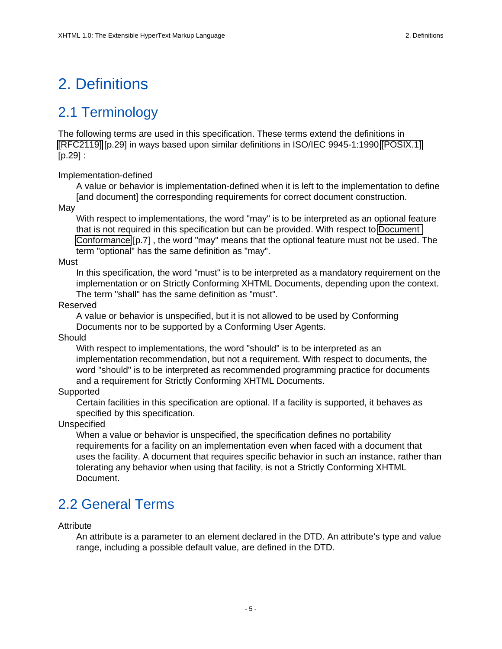# <span id="page-4-2"></span>2. Definitions

### <span id="page-4-1"></span>2.1 Terminology

The following terms are used in this specification. These terms extend the definitions in [\[RFC2119\]](#page-28-5) [p.29] in ways based upon similar definitions in ISO/IEC 9945-1:1990 [\[POSIX.1\]](#page-28-4) [p.29] :

Implementation-defined

A value or behavior is implementation-defined when it is left to the implementation to define [and document] the corresponding requirements for correct document construction.

May

With respect to implementations, the word "may" is to be interpreted as an optional feature that is not required in this specification but can be provided. With respect to [Document](#page-6-0)  [Conformance](#page-6-0) [p.7] , the word "may" means that the optional feature must not be used. The term "optional" has the same definition as "may".

Must

In this specification, the word "must" is to be interpreted as a mandatory requirement on the implementation or on Strictly Conforming XHTML Documents, depending upon the context. The term "shall" has the same definition as "must".

#### Reserved

A value or behavior is unspecified, but it is not allowed to be used by Conforming Documents nor to be supported by a Conforming User Agents.

Should

With respect to implementations, the word "should" is to be interpreted as an implementation recommendation, but not a requirement. With respect to documents, the word "should" is to be interpreted as recommended programming practice for documents and a requirement for Strictly Conforming XHTML Documents.

#### Supported

Certain facilities in this specification are optional. If a facility is supported, it behaves as specified by this specification.

#### Unspecified

When a value or behavior is unspecified, the specification defines no portability requirements for a facility on an implementation even when faced with a document that uses the facility. A document that requires specific behavior in such an instance, rather than tolerating any behavior when using that facility, is not a Strictly Conforming XHTML Document.

### <span id="page-4-0"></span>2.2 General Terms

Attribute

An attribute is a parameter to an element declared in the DTD. An attribute's type and value range, including a possible default value, are defined in the DTD.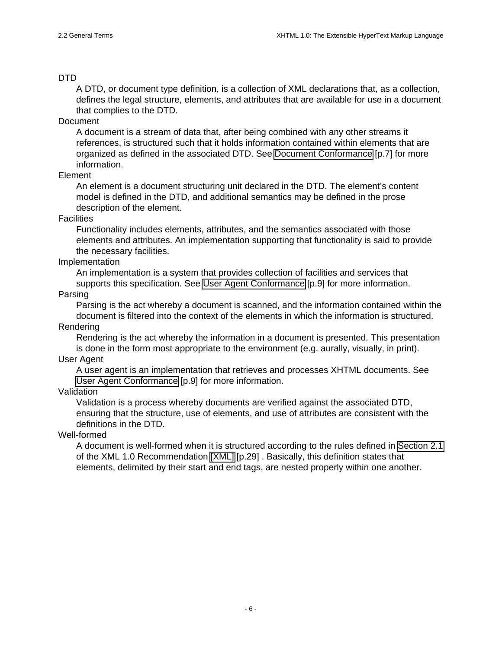#### DTD

A DTD, or document type definition, is a collection of XML declarations that, as a collection, defines the legal structure, elements, and attributes that are available for use in a document that complies to the DTD.

#### **Document**

A document is a stream of data that, after being combined with any other streams it references, is structured such that it holds information contained within elements that are organized as defined in the associated DTD. See [Document Conformance](#page-6-0) [p.7] for more information.

#### Element

An element is a document structuring unit declared in the DTD. The element's content model is defined in the DTD, and additional semantics may be defined in the prose description of the element.

#### <span id="page-5-0"></span>**Facilities**

Functionality includes elements, attributes, and the semantics associated with those elements and attributes. An implementation supporting that functionality is said to provide the necessary facilities.

#### Implementation

An implementation is a system that provides collection of facilities and services that supports this specification. See [User Agent Conformance](#page-8-0) [p.9] for more information.

Parsing

Parsing is the act whereby a document is scanned, and the information contained within the document is filtered into the context of the elements in which the information is structured.

#### Rendering

Rendering is the act whereby the information in a document is presented. This presentation is done in the form most appropriate to the environment (e.g. aurally, visually, in print).

#### User Agent

A user agent is an implementation that retrieves and processes XHTML documents. See [User Agent Conformance](#page-8-0) [p.9] for more information.

#### Validation

Validation is a process whereby documents are verified against the associated DTD, ensuring that the structure, use of elements, and use of attributes are consistent with the definitions in the DTD.

### <span id="page-5-1"></span>Well-formed

A document is well-formed when it is structured according to the rules defined in [Section 2.1](http://www.w3.org/TR/REC-xml#sec-well-formed) of the XML 1.0 Recommendation [\[XML\]](#page-28-3) [p.29] . Basically, this definition states that elements, delimited by their start and end tags, are nested properly within one another.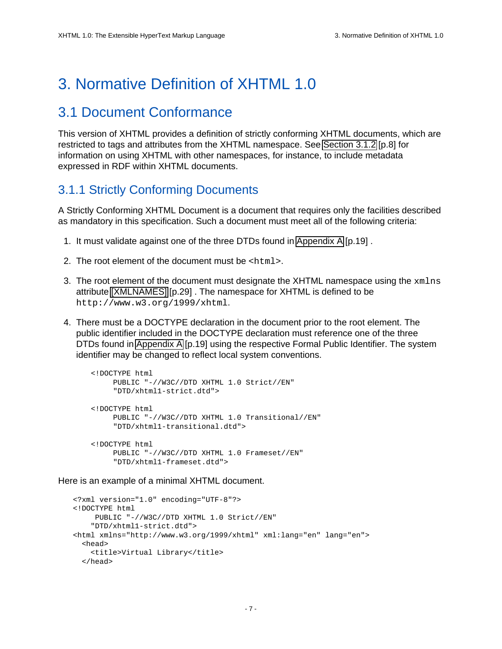# <span id="page-6-1"></span>3. Normative Definition of XHTML 1.0

### <span id="page-6-0"></span>3.1 Document Conformance

This version of XHTML provides a definition of strictly conforming XHTML documents, which are restricted to tags and attributes from the XHTML namespace. See [Section 3.1.2](#page-7-0) [p.8] for information on using XHTML with other namespaces, for instance, to include metadata expressed in RDF within XHTML documents.

### 3.1.1 Strictly Conforming Documents

A Strictly Conforming XHTML Document is a document that requires only the facilities described as mandatory in this specification. Such a document must meet all of the following criteria:

- 1. It must validate against one of the three DTDs found in [Appendix A](#page-18-0) [p.19] .
- 2. The root element of the document must be <html>.
- 3. The root element of the document must designate the XHTML namespace using the  $xmlns$ attribute [\[XMLNAMES\]](#page-28-6) [p.29] . The namespace for XHTML is defined to be http://www.w3.org/1999/xhtml.
- 4. There must be a DOCTYPE declaration in the document prior to the root element. The public identifier included in the DOCTYPE declaration must reference one of the three DTDs found in [Appendix A](#page-18-0) [p.19] using the respective Formal Public Identifier. The system identifier may be changed to reflect local system conventions.

```
<!DOCTYPE html 
     PUBLIC "-//W3C//DTD XHTML 1.0 Strict//EN"
      "DTD/xhtml1-strict.dtd">
<!DOCTYPE html 
      PUBLIC "-//W3C//DTD XHTML 1.0 Transitional//EN"
      "DTD/xhtml1-transitional.dtd">
<!DOCTYPE html 
     PUBLIC "-//W3C//DTD XHTML 1.0 Frameset//EN"
      "DTD/xhtml1-frameset.dtd">
```
Here is an example of a minimal XHTML document.

```
<?xml version="1.0" encoding="UTF-8"?>
<!DOCTYPE html 
     PUBLIC "-//W3C//DTD XHTML 1.0 Strict//EN"
     "DTD/xhtml1-strict.dtd">
<html xmlns="http://www.w3.org/1999/xhtml" xml:lang="en" lang="en">
   <head>
     <title>Virtual Library</title>
   </head>
```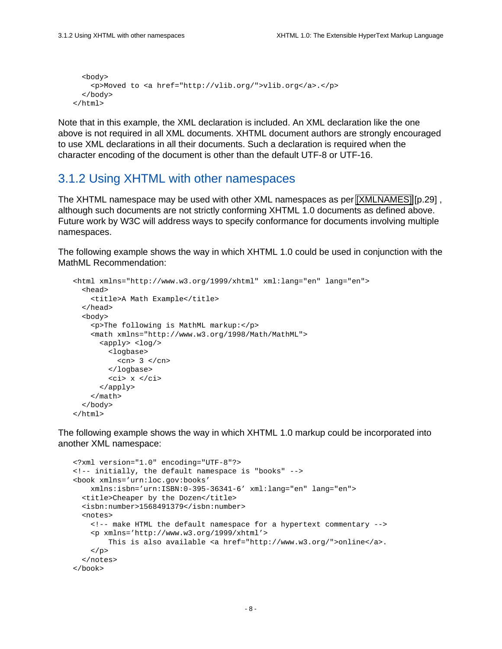```
 <body>
    <p>Moved to <a href="http://vlib.org/">vlib.org</a>.</p>
   </body>
</html>
```
Note that in this example, the XML declaration is included. An XML declaration like the one above is not required in all XML documents. XHTML document authors are strongly encouraged to use XML declarations in all their documents. Such a declaration is required when the character encoding of the document is other than the default UTF-8 or UTF-16.

### <span id="page-7-0"></span>3.1.2 Using XHTML with other namespaces

The XHTML namespace may be used with other XML namespaces as per [\[XMLNAMES\]](#page-28-6) [p.29] , although such documents are not strictly conforming XHTML 1.0 documents as defined above. Future work by W3C will address ways to specify conformance for documents involving multiple namespaces.

The following example shows the way in which XHTML 1.0 could be used in conjunction with the MathML Recommendation:

```
<html xmlns="http://www.w3.org/1999/xhtml" xml:lang="en" lang="en">
   <head>
     <title>A Math Example</title>
   </head>
   <body>
     <p>The following is MathML markup:</p>
     <math xmlns="http://www.w3.org/1998/Math/MathML">
       <apply> <log/>
         <logbase>
          <cn> 3 </cn>
         </logbase>
         <ci> x </ci>
       </apply>
    \langle/math>
   </body>
</html>
```
The following example shows the way in which XHTML 1.0 markup could be incorporated into another XML namespace:

```
<?xml version="1.0" encoding="UTF-8"?>
<!-- initially, the default namespace is "books" -->
<book xmlns='urn:loc.gov:books'
     xmlns:isbn='urn:ISBN:0-395-36341-6' xml:lang="en" lang="en">
   <title>Cheaper by the Dozen</title>
   <isbn:number>1568491379</isbn:number>
   <notes>
     <!-- make HTML the default namespace for a hypertext commentary -->
     <p xmlns='http://www.w3.org/1999/xhtml'>
         This is also available <a href="http://www.w3.org/">online</a>.
    \langle/p>
   </notes>
</book>
```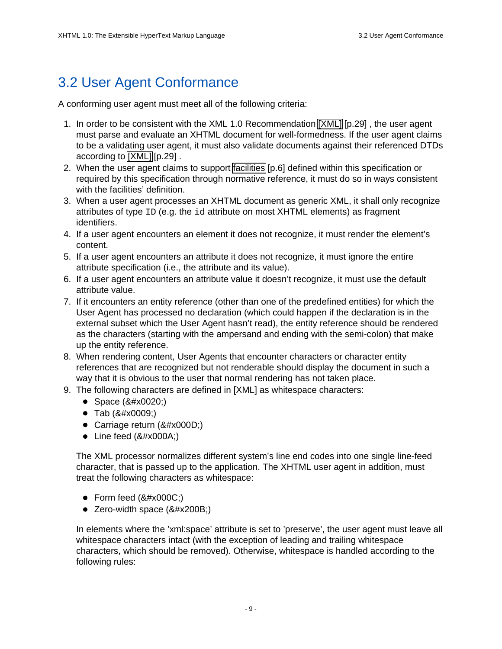## <span id="page-8-0"></span>3.2 User Agent Conformance

A conforming user agent must meet all of the following criteria:

- 1. In order to be consistent with the XML 1.0 Recommendation [\[XML\]](#page-28-3) [p.29] , the user agent must parse and evaluate an XHTML document for well-formedness. If the user agent claims to be a validating user agent, it must also validate documents against their referenced DTDs according to [\[XML\]](#page-28-3) [p.29] .
- 2. When the user agent claims to support [facilities](#page-5-0) [p.6] defined within this specification or required by this specification through normative reference, it must do so in ways consistent with the facilities' definition.
- 3. When a user agent processes an XHTML document as generic XML, it shall only recognize attributes of type ID (e.g. the id attribute on most XHTML elements) as fragment identifiers.
- 4. If a user agent encounters an element it does not recognize, it must render the element's content.
- 5. If a user agent encounters an attribute it does not recognize, it must ignore the entire attribute specification (i.e., the attribute and its value).
- 6. If a user agent encounters an attribute value it doesn't recognize, it must use the default attribute value.
- 7. If it encounters an entity reference (other than one of the predefined entities) for which the User Agent has processed no declaration (which could happen if the declaration is in the external subset which the User Agent hasn't read), the entity reference should be rendered as the characters (starting with the ampersand and ending with the semi-colon) that make up the entity reference.
- 8. When rendering content, User Agents that encounter characters or character entity references that are recognized but not renderable should display the document in such a way that it is obvious to the user that normal rendering has not taken place.
- 9. The following characters are defined in [XML] as whitespace characters:
	- Space  $(8#x0020)$
	- Tab  $(&\#x0009)$
	- Carriage return  $(&\#x000D)$
	- $\bullet$  Line feed ( $&\#x000A$ ;)

The XML processor normalizes different system's line end codes into one single line-feed character, that is passed up to the application. The XHTML user agent in addition, must treat the following characters as whitespace:

- Form feed  $(&\#x000C$ ;
- Zero-width space  $(8#x200B)$

In elements where the 'xml:space' attribute is set to 'preserve', the user agent must leave all whitespace characters intact (with the exception of leading and trailing whitespace characters, which should be removed). Otherwise, whitespace is handled according to the following rules: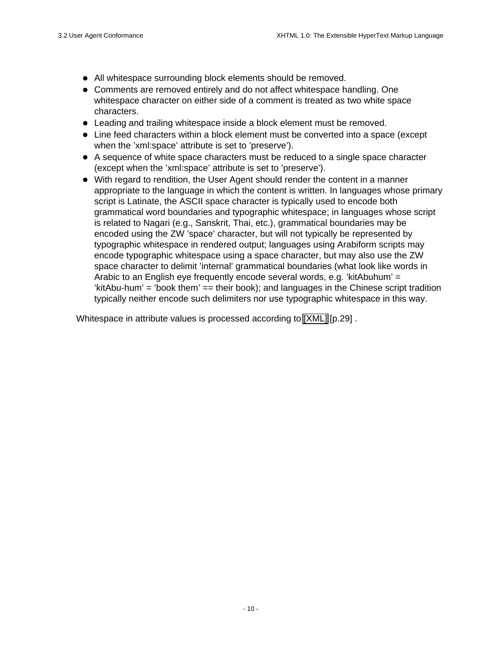- All whitespace surrounding block elements should be removed.
- Comments are removed entirely and do not affect whitespace handling. One whitespace character on either side of a comment is treated as two white space characters.
- Leading and trailing whitespace inside a block element must be removed.
- Line feed characters within a block element must be converted into a space (except when the 'xml:space' attribute is set to 'preserve').
- A sequence of white space characters must be reduced to a single space character (except when the 'xml:space' attribute is set to 'preserve').
- With regard to rendition, the User Agent should render the content in a manner appropriate to the language in which the content is written. In languages whose primary script is Latinate, the ASCII space character is typically used to encode both grammatical word boundaries and typographic whitespace; in languages whose script is related to Nagari (e.g., Sanskrit, Thai, etc.), grammatical boundaries may be encoded using the ZW 'space' character, but will not typically be represented by typographic whitespace in rendered output; languages using Arabiform scripts may encode typographic whitespace using a space character, but may also use the ZW space character to delimit 'internal' grammatical boundaries (what look like words in Arabic to an English eye frequently encode several words, e.g. 'kitAbuhum' =  $'$ kitAbu-hum' = 'book them' == their book); and languages in the Chinese script tradition typically neither encode such delimiters nor use typographic whitespace in this way.

Whitespace in attribute values is processed according to [\[XML\]](#page-28-3) [p.29] .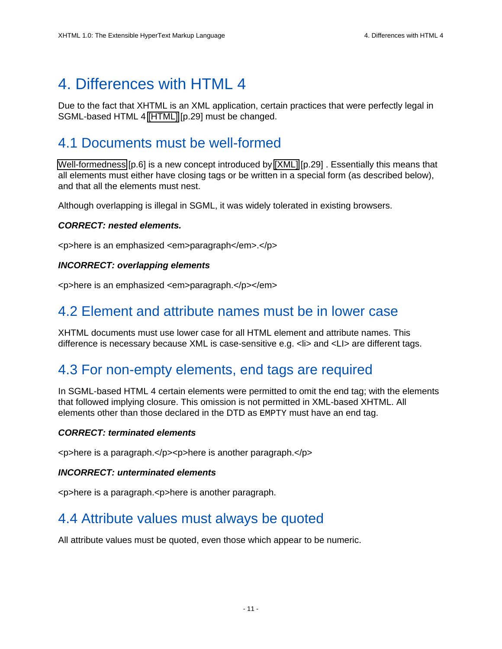## <span id="page-10-0"></span>4. Differences with HTML 4

Due to the fact that XHTML is an XML application, certain practices that were perfectly legal in SGML-based HTML 4 [\[HTML\]](#page-28-1) [p.29] must be changed.

### 4.1 Documents must be well-formed

[Well-formedness](#page-5-1) [p.6] is a new concept introduced by [\[XML\]](#page-28-3) [p.29] . Essentially this means that all elements must either have closing tags or be written in a special form (as described below), and that all the elements must nest.

Although overlapping is illegal in SGML, it was widely tolerated in existing browsers.

#### **CORRECT: nested elements.**

<p>here is an emphasized <em>paragraph</em>.</p>

#### **INCORRECT: overlapping elements**

<p>here is an emphasized <em>paragraph.</p></em>

### 4.2 Element and attribute names must be in lower case

XHTML documents must use lower case for all HTML element and attribute names. This difference is necessary because XML is case-sensitive e.g. <li> and <LI> are different tags.

### 4.3 For non-empty elements, end tags are required

In SGML-based HTML 4 certain elements were permitted to omit the end tag; with the elements that followed implying closure. This omission is not permitted in XML-based XHTML. All elements other than those declared in the DTD as EMPTY must have an end tag.

#### **CORRECT: terminated elements**

<p>here is a paragraph.</p><p>here is another paragraph.</p>

#### **INCORRECT: unterminated elements**

<p>here is a paragraph.<p>here is another paragraph.

### 4.4 Attribute values must always be quoted

All attribute values must be quoted, even those which appear to be numeric.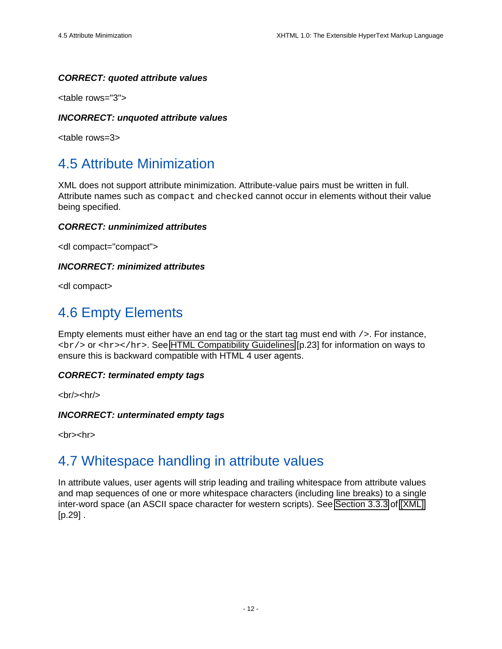#### **CORRECT: quoted attribute values**

<table rows="3">

#### **INCORRECT: unquoted attribute values**

<table rows=3>

### 4.5 Attribute Minimization

XML does not support attribute minimization. Attribute-value pairs must be written in full. Attribute names such as compact and checked cannot occur in elements without their value being specified.

#### **CORRECT: unminimized attributes**

<dl compact="compact">

#### **INCORRECT: minimized attributes**

<dl compact>

### 4.6 Empty Elements

Empty elements must either have an end tag or the start tag must end with />. For instance,  $\langle$ br/> or  $\langle$ hr> $\langle$ /hr>. See [HTML Compatibility Guidelines](#page-22-0) [p.23] for information on ways to ensure this is backward compatible with HTML 4 user agents.

#### **CORRECT: terminated empty tags**

<hr/>><hr/>

#### **INCORRECT: unterminated empty tags**

<hr><hr>

### 4.7 Whitespace handling in attribute values

In attribute values, user agents will strip leading and trailing whitespace from attribute values and map sequences of one or more whitespace characters (including line breaks) to a single inter-word space (an ASCII space character for western scripts). See [Section 3.3.3](http://www.w3.org/TR/REC-xml#AVNormalize) of [\[XML\]](#page-28-3)  $[p.29]$ .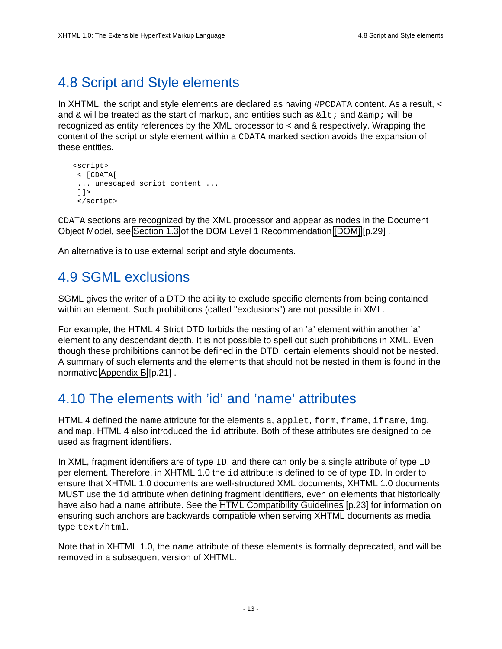### 4.8 Script and Style elements

In XHTML, the script and style elements are declared as having #PCDATA content. As a result, < and  $\&$  will be treated as the start of markup, and entities such as  $\&1 \text{ t}$ ; and  $\& \text{amp}$ ; will be recognized as entity references by the XML processor to  $\epsilon$  and  $\alpha$  respectively. Wrapping the content of the script or style element within a CDATA marked section avoids the expansion of these entities.

```
<script>
 <![CDATA[
  ... unescaped script content ...
]] >
  </script>
```
CDATA sections are recognized by the XML processor and appear as nodes in the Document Object Model, see [Section 1.3](http://www.w3.org/TR/REC-DOM-Level-1/level-one-core.html#ID-E067D597) of the DOM Level 1 Recommendation [\[DOM\]](#page-28-2) [p.29] .

An alternative is to use external script and style documents.

### <span id="page-12-0"></span>4.9 SGML exclusions

SGML gives the writer of a DTD the ability to exclude specific elements from being contained within an element. Such prohibitions (called "exclusions") are not possible in XML.

For example, the HTML 4 Strict DTD forbids the nesting of an 'a' element within another 'a' element to any descendant depth. It is not possible to spell out such prohibitions in XML. Even though these prohibitions cannot be defined in the DTD, certain elements should not be nested. A summary of such elements and the elements that should not be nested in them is found in the normative [Appendix B](#page-20-0) [p.21] .

### 4.10 The elements with 'id' and 'name' attributes

HTML 4 defined the name attribute for the elements a, applet, form, frame, iframe, img, and map. HTML 4 also introduced the id attribute. Both of these attributes are designed to be used as fragment identifiers.

In XML, fragment identifiers are of type  $ID$ , and there can only be a single attribute of type  $ID$ per element. Therefore, in XHTML 1.0 the id attribute is defined to be of type ID. In order to ensure that XHTML 1.0 documents are well-structured XML documents, XHTML 1.0 documents MUST use the id attribute when defining fragment identifiers, even on elements that historically have also had a name attribute. See the [HTML Compatibility Guidelines](#page-22-0) [p.23] for information on ensuring such anchors are backwards compatible when serving XHTML documents as media type text/html.

Note that in XHTML 1.0, the name attribute of these elements is formally deprecated, and will be removed in a subsequent version of XHTML.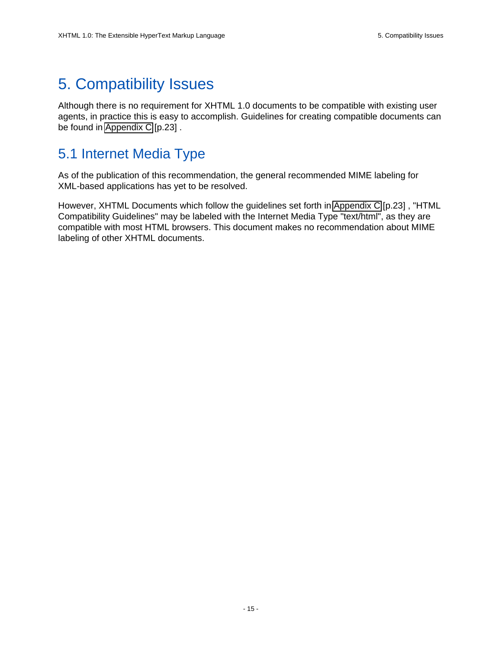# <span id="page-14-1"></span>5. Compatibility Issues

Although there is no requirement for XHTML 1.0 documents to be compatible with existing user agents, in practice this is easy to accomplish. Guidelines for creating compatible documents can be found in [Appendix C](#page-22-0) [p.23] .

### <span id="page-14-0"></span>5.1 Internet Media Type

As of the publication of this recommendation, the general recommended MIME labeling for XML-based applications has yet to be resolved.

However, XHTML Documents which follow the guidelines set forth in [Appendix C](#page-22-0) [p.23] , "HTML Compatibility Guidelines" may be labeled with the Internet Media Type "text/html", as they are compatible with most HTML browsers. This document makes no recommendation about MIME labeling of other XHTML documents.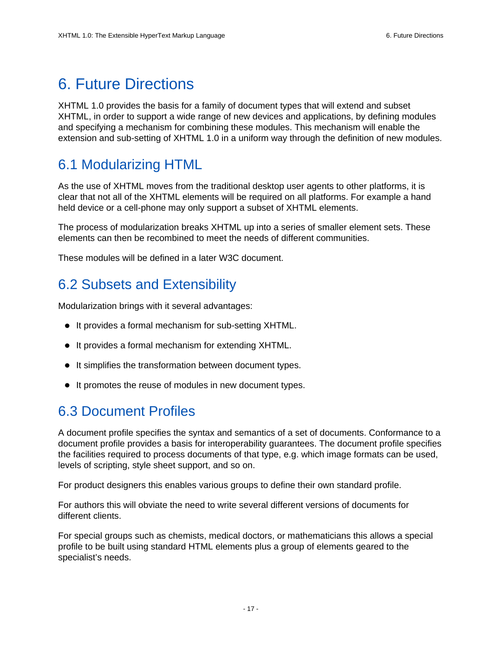## <span id="page-16-3"></span>6. Future Directions

XHTML 1.0 provides the basis for a family of document types that will extend and subset XHTML, in order to support a wide range of new devices and applications, by defining modules and specifying a mechanism for combining these modules. This mechanism will enable the extension and sub-setting of XHTML 1.0 in a uniform way through the definition of new modules.

### <span id="page-16-2"></span>6.1 Modularizing HTML

As the use of XHTML moves from the traditional desktop user agents to other platforms, it is clear that not all of the XHTML elements will be required on all platforms. For example a hand held device or a cell-phone may only support a subset of XHTML elements.

The process of modularization breaks XHTML up into a series of smaller element sets. These elements can then be recombined to meet the needs of different communities.

These modules will be defined in a later W3C document.

### <span id="page-16-1"></span>6.2 Subsets and Extensibility

Modularization brings with it several advantages:

- $\bullet$  It provides a formal mechanism for sub-setting XHTML.
- $\bullet$  It provides a formal mechanism for extending XHTML.
- It simplifies the transformation between document types.
- It promotes the reuse of modules in new document types.

### <span id="page-16-0"></span>6.3 Document Profiles

A document profile specifies the syntax and semantics of a set of documents. Conformance to a document profile provides a basis for interoperability guarantees. The document profile specifies the facilities required to process documents of that type, e.g. which image formats can be used, levels of scripting, style sheet support, and so on.

For product designers this enables various groups to define their own standard profile.

For authors this will obviate the need to write several different versions of documents for different clients.

For special groups such as chemists, medical doctors, or mathematicians this allows a special profile to be built using standard HTML elements plus a group of elements geared to the specialist's needs.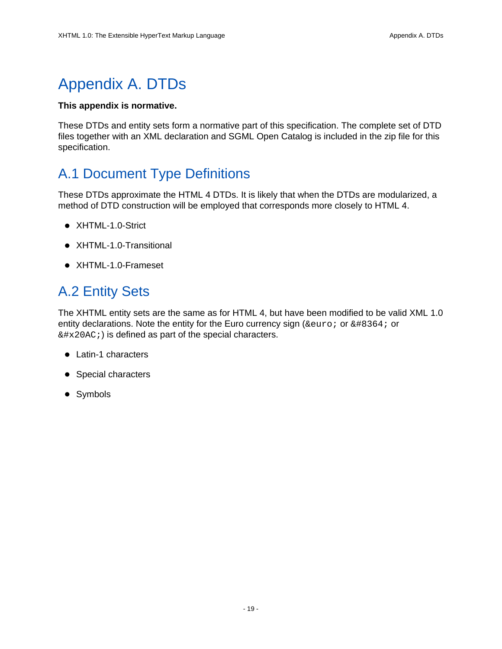# <span id="page-18-0"></span>Appendix A. DTDs

#### **This appendix is normative.**

These DTDs and entity sets form a normative part of this specification. The complete set of DTD files together with an XML declaration and SGML Open Catalog is included in the zip file for this specification.

### A.1 Document Type Definitions

These DTDs approximate the HTML 4 DTDs. It is likely that when the DTDs are modularized, a method of DTD construction will be employed that corresponds more closely to HTML 4.

- XHTML-1.0-Strict
- XHTML-1.0-Transitional
- XHTML-1.0-Frameset

### A.2 Entity Sets

The XHTML entity sets are the same as for HTML 4, but have been modified to be valid XML 1.0 entity declarations. Note the entity for the Euro currency sign ( $\&$ euro; or  $\&\#8364$ ; or  $\&\#x20AC$ ;) is defined as part of the special characters.

- Latin-1 characters
- Special characters
- Symbols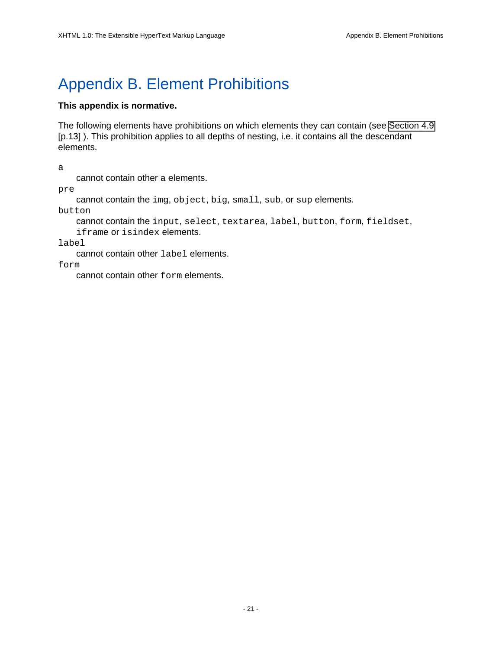# <span id="page-20-0"></span>Appendix B. Element Prohibitions

### **This appendix is normative.**

The following elements have prohibitions on which elements they can contain (see [Section 4.9](#page-12-0) [p.13] ). This prohibition applies to all depths of nesting, i.e. it contains all the descendant elements.

a

cannot contain other a elements.

pre

cannot contain the img, object, big, small, sub, or sup elements.

button

cannot contain the input, select, textarea, label, button, form, fieldset,

iframe or isindex elements.

label

cannot contain other label elements.

form

cannot contain other form elements.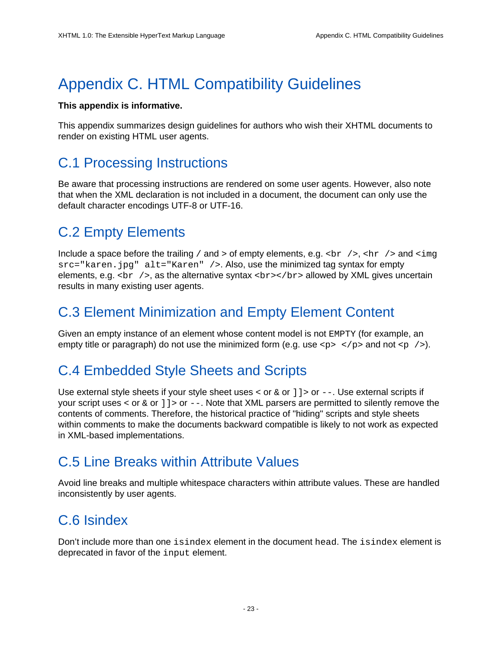# <span id="page-22-0"></span>Appendix C. HTML Compatibility Guidelines

#### **This appendix is informative.**

This appendix summarizes design guidelines for authors who wish their XHTML documents to render on existing HTML user agents.

## C.1 Processing Instructions

Be aware that processing instructions are rendered on some user agents. However, also note that when the XML declaration is not included in a document, the document can only use the default character encodings UTF-8 or UTF-16.

### C.2 Empty Elements

Include a space before the trailing / and > of empty elements, e.g.  $\langle$ br />,  $\langle$ hr /> and  $\langle$ img src="karen.jpg" alt="Karen" />. Also, use the minimized tag syntax for empty elements, e.g.  $\langle$ br  $/$ >, as the alternative syntax  $\langle$ br> $\rangle$  allowed by XML gives uncertain results in many existing user agents.

### C.3 Element Minimization and Empty Element Content

Given an empty instance of an element whose content model is not EMPTY (for example, an empty title or paragraph) do not use the minimized form (e.g. use  $\langle p \rangle \langle p \rangle$  and not  $\langle p \rangle$ ).

### C.4 Embedded Style Sheets and Scripts

Use external style sheets if your style sheet uses  $\lt$  or  $\&$  or ] ] > or --. Use external scripts if your script uses  $\lt$  or  $\&$  or  $\cdot$  ]  $\gt$  or  $\text{-}$ . Note that XML parsers are permitted to silently remove the contents of comments. Therefore, the historical practice of "hiding" scripts and style sheets within comments to make the documents backward compatible is likely to not work as expected in XML-based implementations.

### C.5 Line Breaks within Attribute Values

Avoid line breaks and multiple whitespace characters within attribute values. These are handled inconsistently by user agents.

### C.6 Isindex

Don't include more than one isindex element in the document head. The isindex element is deprecated in favor of the input element.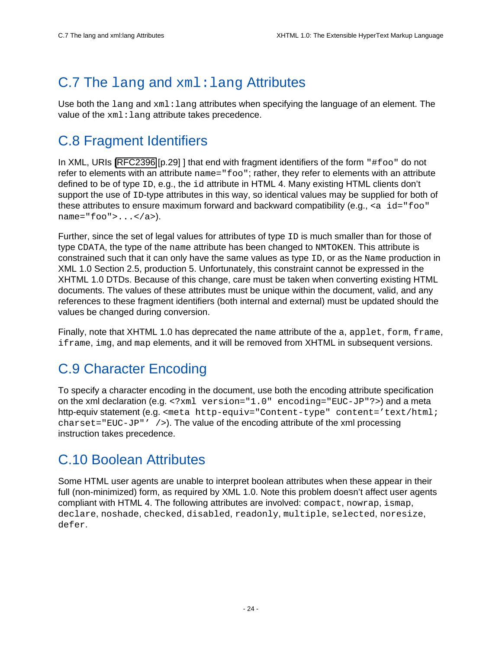## C.7 The lang and xml: lang Attributes

Use both the lang and xml: lang attributes when specifying the language of an element. The value of the  $xml:$  lang attribute takes precedence.

## C.8 Fragment Identifiers

In XML, URIs [\[RFC2396](#page-28-7) [p.29] ] that end with fragment identifiers of the form "#foo" do not refer to elements with an attribute  $name="footnotesize{for "f loop";}$  rather, they refer to elements with an attribute defined to be of type ID, e.g., the id attribute in HTML 4. Many existing HTML clients don't support the use of ID-type attributes in this way, so identical values may be supplied for both of these attributes to ensure maximum forward and backward compatibility (e.g.,  $\le a$  id="foo" name="foo"> $\dots$  </a>).

Further, since the set of legal values for attributes of type ID is much smaller than for those of type CDATA, the type of the name attribute has been changed to NMTOKEN. This attribute is constrained such that it can only have the same values as type ID, or as the Name production in XML 1.0 Section 2.5, production 5. Unfortunately, this constraint cannot be expressed in the XHTML 1.0 DTDs. Because of this change, care must be taken when converting existing HTML documents. The values of these attributes must be unique within the document, valid, and any references to these fragment identifiers (both internal and external) must be updated should the values be changed during conversion.

Finally, note that XHTML 1.0 has deprecated the name attribute of the a, applet, form, frame, if rame, img, and map elements, and it will be removed from XHTML in subsequent versions.

## C.9 Character Encoding

To specify a character encoding in the document, use both the encoding attribute specification on the xml declaration (e.g. <?xml version="1.0" encoding="EUC-JP"?>) and a meta http-equiv statement (e.g. <meta http-equiv="Content-type" content='text/html;  ${\rm charge}t = "EUC-JP"$  / >). The value of the encoding attribute of the xml processing instruction takes precedence.

## C.10 Boolean Attributes

Some HTML user agents are unable to interpret boolean attributes when these appear in their full (non-minimized) form, as required by XML 1.0. Note this problem doesn't affect user agents compliant with HTML 4. The following attributes are involved: compact, nowrap, ismap, declare, noshade, checked, disabled, readonly, multiple, selected, noresize, defer.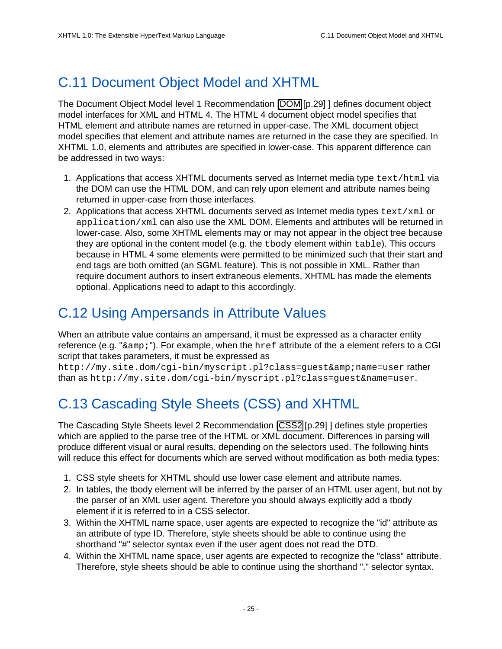### C.11 Document Object Model and XHTML

The Document Object Model level 1 Recommendation [\[DOM](#page-28-2) [p.29] ] defines document object model interfaces for XML and HTML 4. The HTML 4 document object model specifies that HTML element and attribute names are returned in upper-case. The XML document object model specifies that element and attribute names are returned in the case they are specified. In XHTML 1.0, elements and attributes are specified in lower-case. This apparent difference can be addressed in two ways:

- 1. Applications that access XHTML documents served as Internet media type text/html via the DOM can use the HTML DOM, and can rely upon element and attribute names being returned in upper-case from those interfaces.
- 2. Applications that access XHTML documents served as Internet media types  $text{text}/xml$  or application/xml can also use the XML DOM. Elements and attributes will be returned in lower-case. Also, some XHTML elements may or may not appear in the object tree because they are optional in the content model (e.g. the tbody element within table). This occurs because in HTML 4 some elements were permitted to be minimized such that their start and end tags are both omitted (an SGML feature). This is not possible in XML. Rather than require document authors to insert extraneous elements, XHTML has made the elements optional. Applications need to adapt to this accordingly.

## C.12 Using Ampersands in Attribute Values

When an attribute value contains an ampersand, it must be expressed as a character entity reference (e.g. " $\& i$ "). For example, when the  $h$ ref attribute of the a element refers to a CGI script that takes parameters, it must be expressed as

http://my.site.dom/cqi-bin/myscript.pl?class=quest&name=user rather than as http://my.site.dom/cgi-bin/myscript.pl?class=guest&name=user.

# C.13 Cascading Style Sheets (CSS) and XHTML

The Cascading Style Sheets level 2 Recommendation [\[CSS2](#page-28-8) [p.29] ] defines style properties which are applied to the parse tree of the HTML or XML document. Differences in parsing will produce different visual or aural results, depending on the selectors used. The following hints will reduce this effect for documents which are served without modification as both media types:

- 1. CSS style sheets for XHTML should use lower case element and attribute names.
- 2. In tables, the tbody element will be inferred by the parser of an HTML user agent, but not by the parser of an XML user agent. Therefore you should always explicitly add a tbody element if it is referred to in a CSS selector.
- 3. Within the XHTML name space, user agents are expected to recognize the "id" attribute as an attribute of type ID. Therefore, style sheets should be able to continue using the shorthand "#" selector syntax even if the user agent does not read the DTD.
- 4. Within the XHTML name space, user agents are expected to recognize the "class" attribute. Therefore, style sheets should be able to continue using the shorthand "." selector syntax.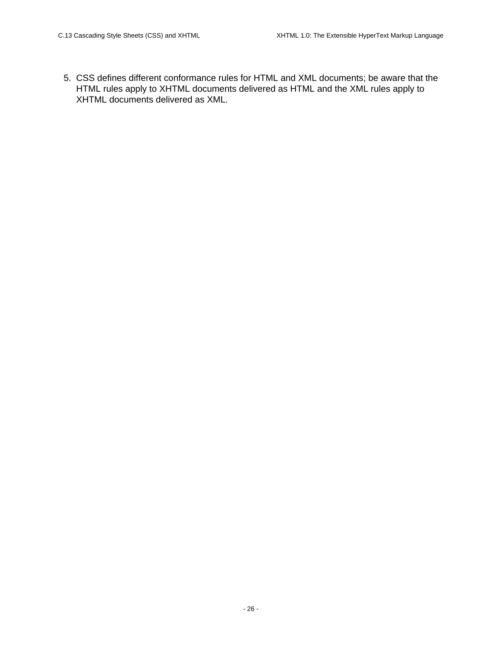5. CSS defines different conformance rules for HTML and XML documents; be aware that the HTML rules apply to XHTML documents delivered as HTML and the XML rules apply to XHTML documents delivered as XML.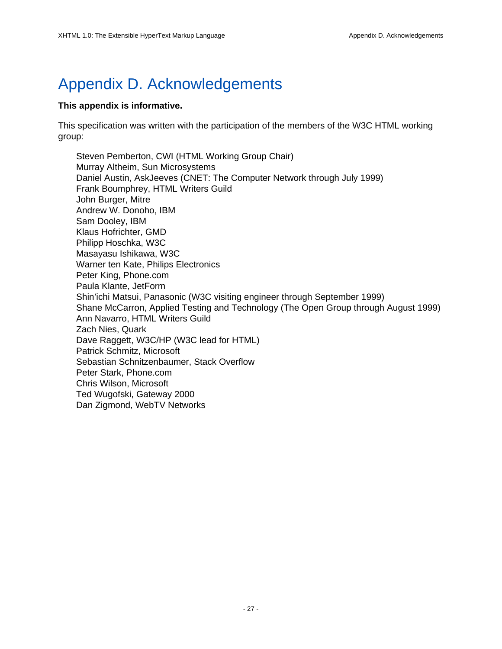# <span id="page-26-0"></span>Appendix D. Acknowledgements

#### **This appendix is informative.**

This specification was written with the participation of the members of the W3C HTML working group:

Steven Pemberton, CWI (HTML Working Group Chair) Murray Altheim, Sun Microsystems Daniel Austin, AskJeeves (CNET: The Computer Network through July 1999) Frank Boumphrey, HTML Writers Guild John Burger, Mitre Andrew W. Donoho, IBM Sam Dooley, IBM Klaus Hofrichter, GMD Philipp Hoschka, W3C Masayasu Ishikawa, W3C Warner ten Kate, Philips Electronics Peter King, Phone.com Paula Klante, JetForm Shin'ichi Matsui, Panasonic (W3C visiting engineer through September 1999) Shane McCarron, Applied Testing and Technology (The Open Group through August 1999) Ann Navarro, HTML Writers Guild Zach Nies, Quark Dave Raggett, W3C/HP (W3C lead for HTML) Patrick Schmitz, Microsoft Sebastian Schnitzenbaumer, Stack Overflow Peter Stark, Phone.com Chris Wilson, Microsoft Ted Wugofski, Gateway 2000 Dan Zigmond, WebTV Networks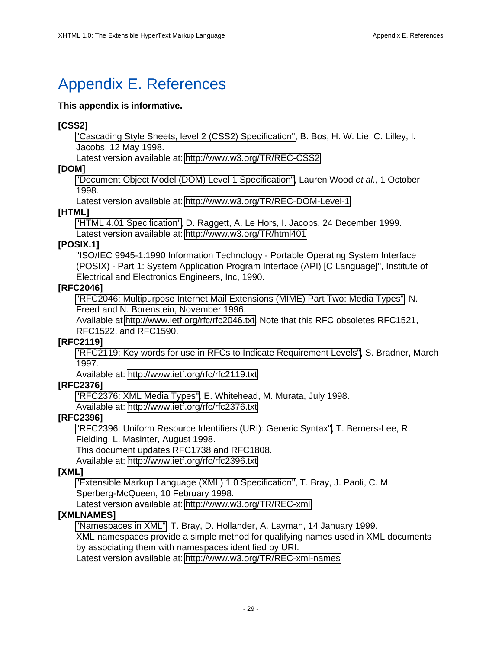## <span id="page-28-0"></span>Appendix E. References

#### **This appendix is informative.**

### <span id="page-28-8"></span>**[CSS2]**

["Cascading Style Sheets, level 2 \(CSS2\) Specification",](http://www.w3.org/TR/1998/REC-CSS2-19980512) B. Bos, H. W. Lie, C. Lilley, I. Jacobs, 12 May 1998.

Latest version available at:<http://www.w3.org/TR/REC-CSS2>

### <span id="page-28-2"></span>**[DOM]**

["Document Object Model \(DOM\) Level 1 Specification",](http://www.w3.org/TR/1998/REC-DOM-Level-1-19981001) Lauren Wood et al., 1 October 1998.

Latest version available at:<http://www.w3.org/TR/REC-DOM-Level-1>

#### <span id="page-28-1"></span>**[HTML]**

["HTML 4.01 Specification",](http://www.w3.org/TR/1999/REC-html401-19991224) D. Raggett, A. Le Hors, I. Jacobs, 24 December 1999. Latest version available at:<http://www.w3.org/TR/html401>

### <span id="page-28-4"></span>**[POSIX.1]**

"ISO/IEC 9945-1:1990 Information Technology - Portable Operating System Interface (POSIX) - Part 1: System Application Program Interface (API) [C Language]", Institute of Electrical and Electronics Engineers, Inc, 1990.

### **[RFC2046]**

["RFC2046: Multipurpose Internet Mail Extensions \(MIME\) Part Two: Media Types",](http://www.ietf.org/rfc/rfc2046.txt) N. Freed and N. Borenstein, November 1996.

Available at [http://www.ietf.org/rfc/rfc2046.txt.](http://www.ietf.org/rfc/rfc2046.txt) Note that this RFC obsoletes RFC1521, RFC1522, and RFC1590.

### <span id="page-28-5"></span>**[RFC2119]**

["RFC2119: Key words for use in RFCs to Indicate Requirement Levels",](http://www.ietf.org/rfc/rfc2119.txt) S. Bradner, March 1997.

Available at:<http://www.ietf.org/rfc/rfc2119.txt>

### **[RFC2376]**

["RFC2376: XML Media Types",](http://www.ietf.org/rfc/rfc2376.txt) E. Whitehead, M. Murata, July 1998.

Available at:<http://www.ietf.org/rfc/rfc2376.txt>

### <span id="page-28-7"></span>**[RFC2396]**

["RFC2396: Uniform Resource Identifiers \(URI\): Generic Syntax",](http://www.ietf.org/rfc/rfc2396.txt) T. Berners-Lee, R. Fielding, L. Masinter, August 1998.

This document updates RFC1738 and RFC1808.

Available at:<http://www.ietf.org/rfc/rfc2396.txt>

### <span id="page-28-3"></span>**[XML]**

["Extensible Markup Language \(XML\) 1.0 Specification",](http://www.w3.org/TR/1998/REC-xml-19980210) T. Bray, J. Paoli, C. M. Sperberg-McQueen, 10 February 1998.

Latest version available at:<http://www.w3.org/TR/REC-xml>

### <span id="page-28-6"></span>**[XMLNAMES]**

["Namespaces in XML",](http://www.w3.org/TR/1999/REC-xml-names-19990114) T. Bray, D. Hollander, A. Layman, 14 January 1999.

XML namespaces provide a simple method for qualifying names used in XML documents by associating them with namespaces identified by URI.

Latest version available at:<http://www.w3.org/TR/REC-xml-names>